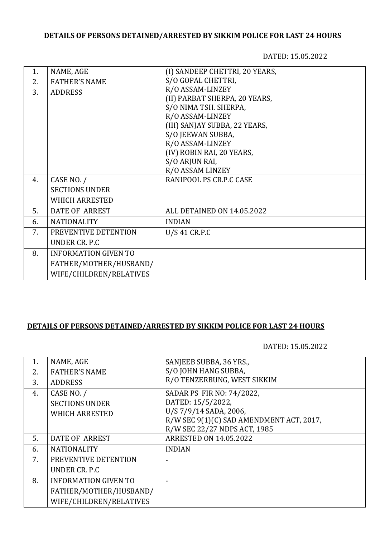# **DETAILS OF PERSONS DETAINED/ARRESTED BY SIKKIM POLICE FOR LAST 24 HOURS**

DATED: 15.05.2022

#### **DETAILS OF PERSONS DETAINED/ARRESTED BY SIKKIM POLICE FOR LAST 24 HOURS**

DATED: 15.05.2022

| 1. | NAME, AGE                   | SANJEEB SUBBA, 36 YRS.,                  |
|----|-----------------------------|------------------------------------------|
| 2. | <b>FATHER'S NAME</b>        | S/O JOHN HANG SUBBA,                     |
| 3. | <b>ADDRESS</b>              | R/O TENZERBUNG, WEST SIKKIM              |
| 4. | CASE NO. /                  | SADAR PS FIR NO: 74/2022,                |
|    | <b>SECTIONS UNDER</b>       | DATED: 15/5/2022,                        |
|    | <b>WHICH ARRESTED</b>       | U/S 7/9/14 SADA, 2006,                   |
|    |                             | R/W SEC 9(1)(C) SAD AMENDMENT ACT, 2017, |
|    |                             | R/W SEC 22/27 NDPS ACT, 1985             |
| 5. | DATE OF ARREST              | <b>ARRESTED ON 14.05.2022</b>            |
| 6. | <b>NATIONALITY</b>          | <b>INDIAN</b>                            |
| 7. | PREVENTIVE DETENTION        |                                          |
|    | UNDER CR. P.C               |                                          |
| 8. | <b>INFORMATION GIVEN TO</b> |                                          |
|    | FATHER/MOTHER/HUSBAND/      |                                          |
|    | WIFE/CHILDREN/RELATIVES     |                                          |
|    |                             |                                          |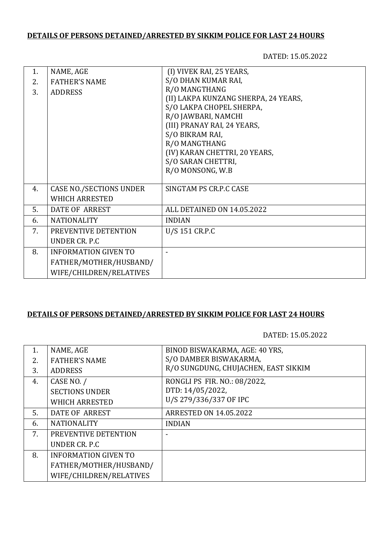# **DETAILS OF PERSONS DETAINED/ARRESTED BY SIKKIM POLICE FOR LAST 24 HOURS**

DATED: 15.05.2022

| 1. | NAME, AGE                      | (I) VIVEK RAI, 25 YEARS,             |
|----|--------------------------------|--------------------------------------|
| 2. | <b>FATHER'S NAME</b>           | S/O DHAN KUMAR RAI,                  |
| 3. | <b>ADDRESS</b>                 | R/O MANGTHANG                        |
|    |                                | (II) LAKPA KUNZANG SHERPA, 24 YEARS, |
|    |                                | S/O LAKPA CHOPEL SHERPA,             |
|    |                                | R/O JAWBARI, NAMCHI                  |
|    |                                | (III) PRANAY RAI, 24 YEARS,          |
|    |                                | S/O BIKRAM RAI,                      |
|    |                                | R/O MANGTHANG                        |
|    |                                | (IV) KARAN CHETTRI, 20 YEARS,        |
|    |                                | S/O SARAN CHETTRI,                   |
|    |                                | R/O MONSONG, W.B                     |
|    |                                |                                      |
| 4. | <b>CASE NO./SECTIONS UNDER</b> | SINGTAM PS CR.P.C CASE               |
|    | <b>WHICH ARRESTED</b>          |                                      |
| 5. | <b>DATE OF ARREST</b>          | ALL DETAINED ON 14.05.2022           |
| 6. | <b>NATIONALITY</b>             | <b>INDIAN</b>                        |
| 7. | PREVENTIVE DETENTION           | U/S 151 CR.P.C                       |
|    | UNDER CR. P.C.                 |                                      |
| 8. | <b>INFORMATION GIVEN TO</b>    |                                      |
|    | FATHER/MOTHER/HUSBAND/         |                                      |
|    | WIFE/CHILDREN/RELATIVES        |                                      |
|    |                                |                                      |

# **DETAILS OF PERSONS DETAINED/ARRESTED BY SIKKIM POLICE FOR LAST 24 HOURS**

DATED: 15.05.2022

| NAME, AGE                   | BINOD BISWAKARMA, AGE: 40 YRS,       |
|-----------------------------|--------------------------------------|
| <b>FATHER'S NAME</b>        | S/O DAMBER BISWAKARMA,               |
| <b>ADDRESS</b>              | R/O SUNGDUNG, CHUJACHEN, EAST SIKKIM |
| CASE NO. /                  | RONGLI PS FIR. NO.: 08/2022,         |
| <b>SECTIONS UNDER</b>       | DTD: 14/05/2022,                     |
| <b>WHICH ARRESTED</b>       | U/S 279/336/337 OF IPC               |
| DATE OF ARREST              | <b>ARRESTED ON 14.05.2022</b>        |
| <b>NATIONALITY</b>          | <b>INDIAN</b>                        |
| PREVENTIVE DETENTION        |                                      |
| UNDER CR. P.C.              |                                      |
| <b>INFORMATION GIVEN TO</b> |                                      |
| FATHER/MOTHER/HUSBAND/      |                                      |
| WIFE/CHILDREN/RELATIVES     |                                      |
|                             |                                      |